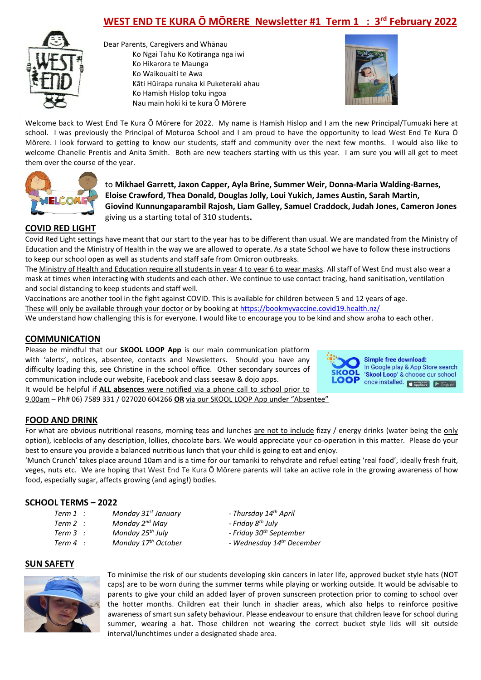# **WEST END TE KURA Ō MŌRERE Newsletter #1 Term 1 : 3rd February 2022**



Dear Parents, Caregivers and Whānau Ko Ngai Tahu Ko Kotiranga nga iwi Ko Hikarora te Maunga Ko Waikouaiti te Awa Kāti Hūirapa runaka ki Puketeraki ahau Ko Hamish Hislop toku ingoa Nau main hoki ki te kura Ō Mōrere



Welcome back to West End Te Kura Ō Mōrere for 2022. My name is Hamish Hislop and I am the new Principal/Tumuaki here at school. I was previously the Principal of Moturoa School and I am proud to have the opportunity to lead West End Te Kura Ō Mōrere. I look forward to getting to know our students, staff and community over the next few months. I would also like to welcome Chanelle Prentis and Anita Smith. Both are new teachers starting with us this year. I am sure you will all get to meet them over the course of the year.



to **Mikhael Garrett, Jaxon Capper, Ayla Brine, Summer Weir, Donna-Maria Walding-Barnes, Eloise Crawford, Thea Donald, Douglas Jolly, Loui Yukich, James Austin, Sarah Martin, Giovind Kunnungaparambil Rajosh, Liam Galley, Samuel Craddock, Judah Jones, Cameron Jones**  giving us a starting total of 310 students**.**

## **COVID RED LIGHT**

Covid Red Light settings have meant that our start to the year has to be different than usual. We are mandated from the Ministry of Education and the Ministry of Health in the way we are allowed to operate. As a state School we have to follow these instructions to keep our school open as well as students and staff safe from Omicron outbreaks.

The Ministry of Health and Education require all students in year 4 to year 6 to wear masks. All staff of West End must also wear a mask at times when interacting with students and each other. We continue to use contact tracing, hand sanitisation, ventilation and social distancing to keep students and staff well.

Vaccinations are another tool in the fight against COVID. This is available for children between 5 and 12 years of age. These will only be available through your doctor or by booking a[t https://bookmyvaccine.covid19.health.nz/](https://bookmyvaccine.covid19.health.nz/)

We understand how challenging this is for everyone. I would like to encourage you to be kind and show aroha to each other.

#### **COMMUNICATION**

Please be mindful that our **SKOOL LOOP App** is our main communication platform with 'alerts', notices, absentee, contacts and Newsletters. Should you have any difficulty loading this, see Christine in the school office. Other secondary sources of communication include our website, Facebook and class seesaw & dojo apps. It would be helpful if **ALL absences** were notified via a phone call to school prior to

9.00am – Ph# 06) 7589 331 / 027020 604266 **OR** via our SKOOL LOOP App under "Absentee"



**Simple free download:** In Google play & App Store search 'Skool Loop' & choose our school once installed. <mark>○ App Store</mark>

### **FOOD AND DRINK**

For what are obvious nutritional reasons, morning teas and lunches are not to include fizzy / energy drinks (water being the only option), iceblocks of any description, lollies, chocolate bars. We would appreciate your co-operation in this matter. Please do your best to ensure you provide a balanced nutritious lunch that your child is going to eat and enjoy.

'Munch Crunch' takes place around 10am and is a time for our tamariki to rehydrate and refuel eating 'real food', ideally fresh fruit, veges, nuts etc. We are hoping that West End Te Kura Ō Mōrere parents will take an active role in the growing awareness of how food, especially sugar, affects growing (and aging!) bodies.

### **SCHOOL TERMS – 2022**

- *Term 1 : Monday 31st January - Thursday 14th April*
- *Term 2 : Monday 2nd May - Friday 8th July*
- *Term 3 : Monday 25th July - Friday 30th September*
- 
- 
- 
- 
- *Term 4 : Monday 17th October - Wednesday 14th December*

### **SUN SAFETY**



To minimise the risk of our students developing skin cancers in later life, approved bucket style hats (NOT caps) are to be worn during the summer terms while playing or working outside. It would be advisable to parents to give your child an added layer of proven sunscreen protection prior to coming to school over the hotter months. Children eat their lunch in shadier areas, which also helps to reinforce positive awareness of smart sun safety behaviour. Please endeavour to ensure that children leave for school during summer, wearing a hat. Those children not wearing the correct bucket style lids will sit outside interval/lunchtimes under a designated shade area.